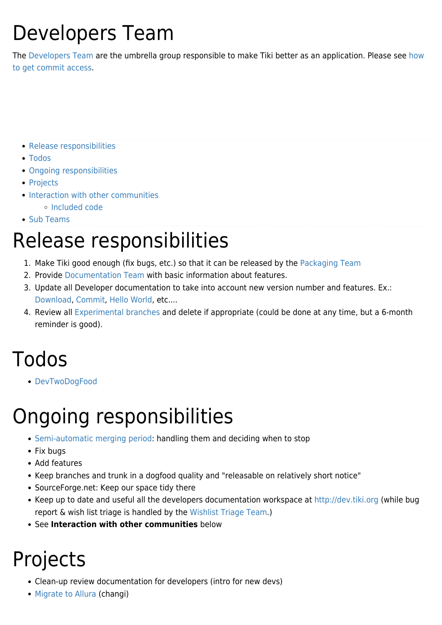# Developers Team

The [Developers Team](https://tiki.org/Developers-Team) are the umbrella group responsible to make Tiki better as an application. Please see [how](http://dev.tiki.org/how%20to%20get%20commit%20access) [to get commit access](http://dev.tiki.org/how%20to%20get%20commit%20access).

- [Release responsibilities](#page--1-0)
- [Todos](#page--1-0)
- [Ongoing responsibilities](#page--1-0)
- [Projects](#page--1-0)
- [Interaction with other communities](#page--1-0)
	- [Included code](#page--1-0)
- [Sub Teams](#page--1-0)

#### Release responsibilities

- 1. Make Tiki good enough (fix bugs, etc.) so that it can be released by the [Packaging Team](https://tiki.org/Packaging-Team)
- 2. Provide [Documentation Team](https://tiki.org/Documentation-Team) with basic information about features.
- 3. Update all Developer documentation to take into account new version number and features. Ex.: [Download](http://dev.tiki.org/Download), [Commit](http://dev.tiki.org/Commit), [Hello World,](http://dev.tiki.org/Hello%20World) etc....
- 4. Review all [Experimental branches](http://dev.tiki.org/Experimental%20branches) and delete if appropriate (could be done at any time, but a 6-month reminder is good).

#### Todos

[DevTwoDogFood](http://dev.tiki.org/DevTwoDogFood)

# Ongoing responsibilities

- [Semi-automatic merging period:](http://dev.tiki.org/Semi-automatic%20merging%20period) handling them and deciding when to stop
- Fix bugs
- Add features
- Keep branches and trunk in a dogfood quality and "releasable on relatively short notice"
- SourceForge.net: Keep our space tidy there
- Keep up to date and useful all the developers documentation workspace at <http://dev.tiki.org>(while bug report & wish list triage is handled by the [Wishlist Triage Team.](https://tiki.org/Wishlist-Triage-Team))
- See **Interaction with other communities** below

### Projects

- Clean-up review documentation for developers (intro for new devs)
- [Migrate to Allura](https://tiki.org/Migrate-to-Allura) (changi)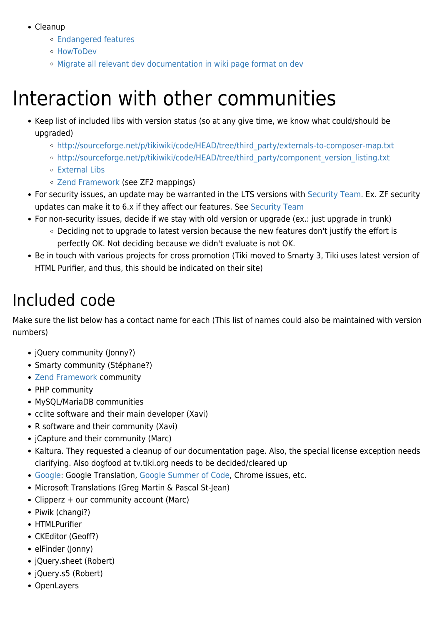- Cleanup
	- [Endangered features](http://dev.tiki.org/Endangered%20features)
	- [HowToDev](http://dev.tiki.org/HowToDev)
	- [Migrate all relevant dev documentation in wiki page format on dev](tiki-list_faqs.php)

### Interaction with other communities

- Keep list of included libs with version status (so at any give time, we know what could/should be upgraded)
	- [http://sourceforge.net/p/tikiwiki/code/HEAD/tree/third\\_party/externals-to-composer-map.txt](http://sourceforge.net/p/tikiwiki/code/HEAD/tree/third_party/externals-to-composer-map.txt)
	- o [http://sourceforge.net/p/tikiwiki/code/HEAD/tree/third\\_party/component\\_version\\_listing.txt](http://sourceforge.net/p/tikiwiki/code/HEAD/tree/third_party/component_version_listing.txt)
	- [External Libs](http://dev.tiki.org/External%20Libs)
	- [Zend Framework](http://dev.tiki.org/Zend%20Framework) (see ZF2 mappings)
- For security issues, an update may be warranted in the LTS versions with [Security Team](https://tiki.org/Security-Team). Ex. ZF security updates can make it to 6.x if they affect our features. See [Security Team](https://tiki.org/Security-Team)
- For non-security issues, decide if we stay with old version or upgrade (ex.: just upgrade in trunk)
	- $\circ$  Deciding not to upgrade to latest version because the new features don't justify the effort is perfectly OK. Not deciding because we didn't evaluate is not OK.
- Be in touch with various projects for cross promotion (Tiki moved to Smarty 3, Tiki uses latest version of HTML Purifier, and thus, this should be indicated on their site)

#### Included code

Make sure the list below has a contact name for each (This list of names could also be maintained with version numbers)

- jQuery community (Jonny?)
- Smarty community (Stéphane?)
- [Zend Framework](http://dev.tiki.org/Zend%20Framework) community
- PHP community
- MySQL/MariaDB communities
- cclite software and their main developer (Xavi)
- R software and their community (Xavi)
- ¡Capture and their community (Marc)
- Kaltura. They requested a cleanup of our documentation page. Also, the special license exception needs clarifying. Also dogfood at tv.tiki.org needs to be decided/cleared up
- [Google:](https://tiki.org/Google) Google Translation, [Google Summer of Code](https://tiki.org/Google-Summer-of-Code), Chrome issues, etc.
- Microsoft Translations (Greg Martin & Pascal St-Jean)
- Clipperz + our community account (Marc)
- Piwik (changi?)
- HTMLPurifier
- CKEditor (Geoff?)
- elFinder (Jonny)
- jQuery.sheet (Robert)
- jQuery.s5 (Robert)
- OpenLayers